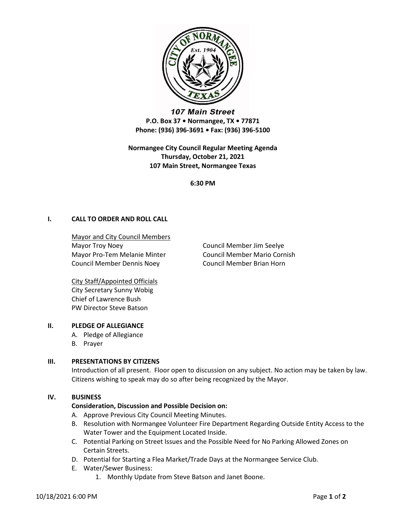

107 Main Street P.O. Box 37 • Normangee, TX • 77871 Phone: (936) 396-3691 • Fax: (936) 396-5100

Normangee City Council Regular Meeting Agenda Thursday, October 21, 2021 107 Main Street, Normangee Texas

6:30 PM

# I. CALL TO ORDER AND ROLL CALL

Mayor and City Council Members Mayor Troy Noey **Council Member Jim Seelye** Mayor Pro-Tem Melanie Minter Council Member Mario Cornish Council Member Dennis Noey Council Member Brian Horn

City Staff/Appointed Officials City Secretary Sunny Wobig Chief of Lawrence Bush PW Director Steve Batson

## II. PLEDGE OF ALLEGIANCE

- A. Pledge of Allegiance
- B. Prayer

## III. PRESENTATIONS BY CITIZENS

Introduction of all present. Floor open to discussion on any subject. No action may be taken by law. Citizens wishing to speak may do so after being recognized by the Mayor.

#### IV. BUSINESS

## Consideration, Discussion and Possible Decision on:

- A. Approve Previous City Council Meeting Minutes.
- B. Resolution with Normangee Volunteer Fire Department Regarding Outside Entity Access to the Water Tower and the Equipment Located Inside.
- C. Potential Parking on Street Issues and the Possible Need for No Parking Allowed Zones on Certain Streets.
- D. Potential for Starting a Flea Market/Trade Days at the Normangee Service Club.
- E. Water/Sewer Business:
	- 1. Monthly Update from Steve Batson and Janet Boone.